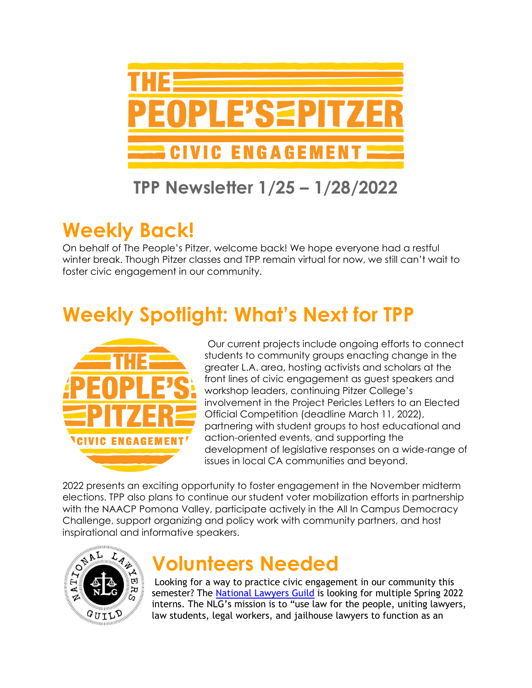

#### **TPP Newsletter 1/25 – 1/28/2022**

# **Weekly Back!**

On behalf of The People's Pitzer, welcome back! We hope everyone had a restful winter break. Though Pitzer classes and TPP remain virtual for now, we still can't wait to foster civic engagement in our community.

# **Weekly Spotlight: What's Next for TPP**



Our current projects include ongoing efforts to connect students to community groups enacting change in the greater L.A. area, hosting activists and scholars at the front lines of civic engagement as guest speakers and workshop leaders, continuing Pitzer College's involvement in the Project Pericles Letters to an Elected Official Competition (deadline March 11, 2022), partnering with student groups to host educational and action-oriented events, and supporting the development of legislative responses on a wide-range of issues in local CA communities and beyond.

2022 presents an exciting opportunity to foster engagement in the November midterm elections. TPP also plans to continue our student voter mobilization efforts in partnership with the NAACP Pomona Valley, participate actively in the All In Campus Democracy Challenge, support organizing and policy work with community partners, and host



### **Volunteers Needed**

Looking for a way to practice civic engagement in our community this semester? The [National Lawyers Guild](https://www.nlg.org/) is looking for multiple Spring 2022 interns. The NLG's mission is to "use law for the people, uniting lawyers, law students, legal workers, and jailhouse lawyers to function as an